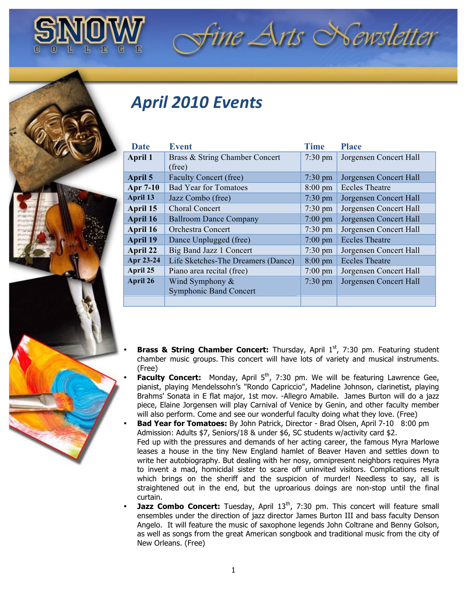

## *April&2010&Events*

| <b>Date</b>     | <b>Event</b>                       | <b>Time</b>       | <b>Place</b>           |
|-----------------|------------------------------------|-------------------|------------------------|
| <b>April 1</b>  | Brass & String Chamber Concert     | $7:30 \text{ pm}$ | Jorgensen Concert Hall |
|                 | (free)                             |                   |                        |
| April 5         | Faculty Concert (free)             | $7:30 \text{ pm}$ | Jorgensen Concert Hall |
| Apr 7-10        | <b>Bad Year for Tomatoes</b>       | $8:00 \text{ pm}$ | <b>Eccles Theatre</b>  |
| April 13        | Jazz Combo (free)                  | $7:30 \text{ pm}$ | Jorgensen Concert Hall |
| April 15        | Choral Concert                     | $7:30 \text{ pm}$ | Jorgensen Concert Hall |
| April 16        | <b>Ballroom Dance Company</b>      | $7:00 \text{ pm}$ | Jorgensen Concert Hall |
| April 16        | <b>Orchestra Concert</b>           | $7:30 \text{ pm}$ | Jorgensen Concert Hall |
| <b>April 19</b> | Dance Unplugged (free)             | $7:00$ pm         | <b>Eccles Theatre</b>  |
| April 22        | Big Band Jazz 1 Concert            | $7:30 \text{ pm}$ | Jorgensen Concert Hall |
| Apr 23-24       | Life Sketches-The Dreamers (Dance) | $8:00 \text{ pm}$ | <b>Eccles Theatre</b>  |
| April 25        | Piano area recital (free)          | $7:00 \text{ pm}$ | Jorgensen Concert Hall |
| April 26        | Wind Symphony $&$                  | $7:30 \text{ pm}$ | Jorgensen Concert Hall |
|                 | <b>Symphonic Band Concert</b>      |                   |                        |
|                 |                                    |                   |                        |

fine Arts Newsletter

- **Brass & String Chamber Concert:** Thursday, April 1<sup>st</sup>, 7:30 pm. Featuring student chamber music groups. This concert will have lots of variety and musical instruments. (Free)
- Faculty Concert: Monday, April 5<sup>th</sup>, 7:30 pm. We will be featuring Lawrence Gee, pianist, playing Mendelssohn's "Rondo Capriccio", Madeline Johnson, clarinetist, playing Brahms' Sonata in E flat major, 1st mov. -Allegro Amabile. James Burton will do a jazz piece, Elaine Jorgensen will play Carnival of Venice by Genin, and other faculty member will also perform. Come and see our wonderful faculty doing what they love. (Free)
- **Bad Year for Tomatoes:** By John Patrick, Director Brad Olsen, April 7-10 8:00 pm Admission: Adults \$7, Seniors/18 & under \$6, SC students w/activity card \$2. Fed up with the pressures and demands of her acting career, the famous Myra Marlowe leases a house in the tiny New England hamlet of Beaver Haven and settles down to write her autobiography. But dealing with her nosy, omnipresent neighbors requires Myra to invent a mad, homicidal sister to scare off uninvited visitors. Complications result which brings on the sheriff and the suspicion of murder! Needless to sav, all is straightened out in the end, but the uproarious doings are non-stop until the final curtain.
- **Jazz Combo Concert:** Tuesday, April 13<sup>th</sup>, 7:30 pm. This concert will feature small ensembles under the direction of jazz director James Burton III and bass faculty Denson Angelo. It will feature the music of saxophone legends John Coltrane and Benny Golson, as well as songs from the great American songbook and traditional music from the city of New Orleans. (Free)